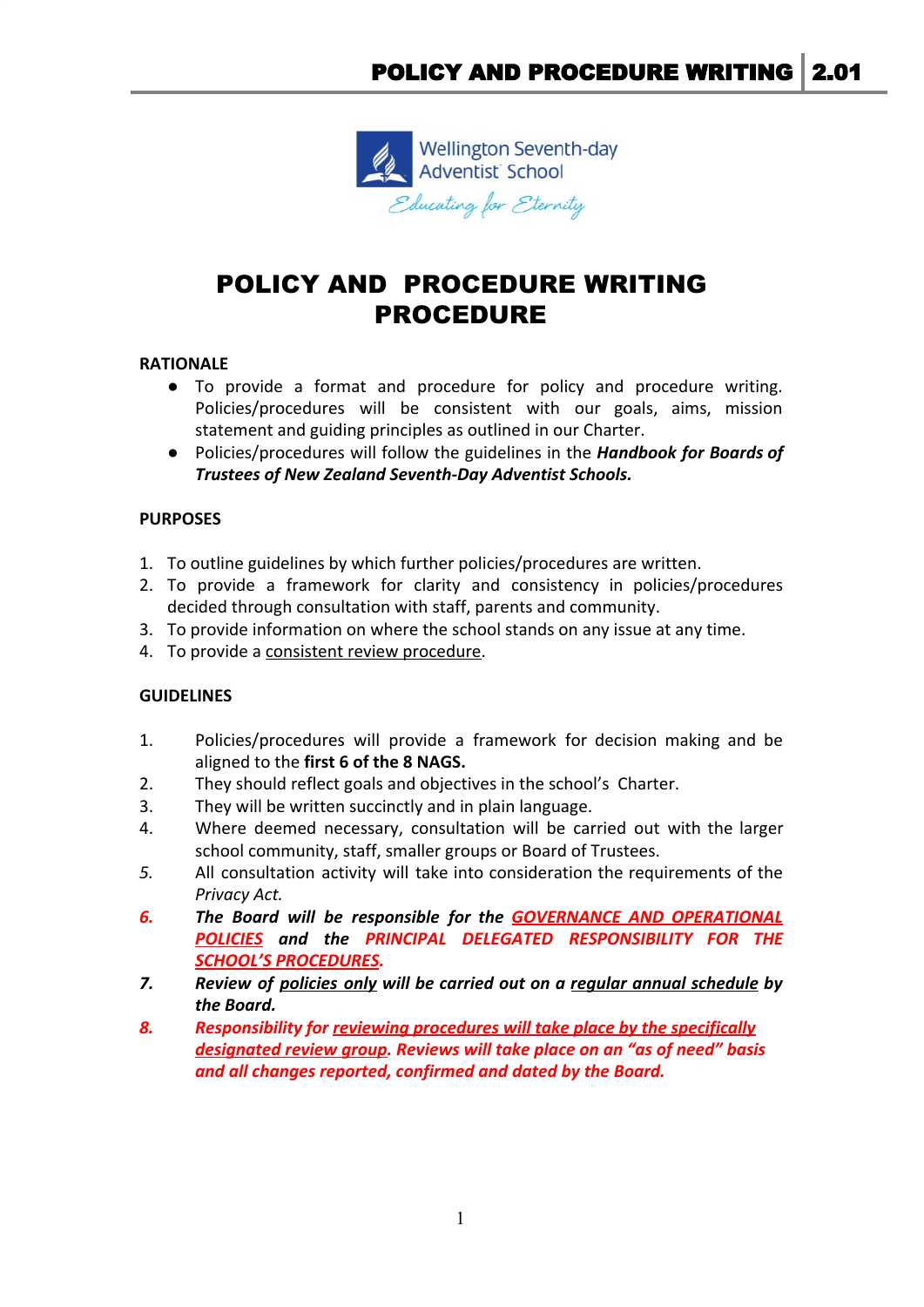

# POLICY AND PROCEDURE WRITING PROCEDURE

## **RATIONALE**

- To provide a format and procedure for policy and procedure writing. Policies/procedures will be consistent with our goals, aims, mission statement and guiding principles as outlined in our Charter.
- Policies/procedures will follow the guidelines in the *Handbook for Boards of Trustees of New Zealand Seventh-Day Adventist Schools.*

## **PURPOSES**

- 1. To outline guidelines by which further policies/procedures are written.
- 2. To provide a framework for clarity and consistency in policies/procedures decided through consultation with staff, parents and community.
- 3. To provide information on where the school stands on any issue at any time.
- 4. To provide a consistent review procedure.

## **GUIDELINES**

- 1. Policies/procedures will provide a framework for decision making and be aligned to the **first 6 of the 8 NAGS.**
- 2. They should reflect goals and objectives in the school's Charter.
- 3. They will be written succinctly and in plain language.
- 4. Where deemed necessary, consultation will be carried out with the larger school community, staff, smaller groups or Board of Trustees.
- *5.* All consultation activity will take into consideration the requirements of the *Privacy Act.*
- *6. The Board will be responsible for the GOVERNANCE AND OPERATIONAL POLICIES and the PRINCIPAL DELEGATED RESPONSIBILITY FOR THE SCHOOL'S PROCEDURES.*
- *7. Review of policies only will be carried out on a regular annual schedule by the Board.*
- *8. Responsibility for reviewing procedures will take place by the specifically designated review group. Reviews will take place on an "as of need" basis and all changes reported, confirmed and dated by the Board.*